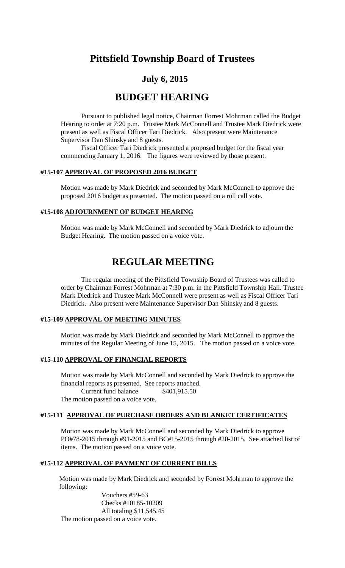# **Pittsfield Township Board of Trustees**

# **July 6, 2015**

# **BUDGET HEARING**

Pursuant to published legal notice, Chairman Forrest Mohrman called the Budget Hearing to order at 7:20 p.m. Trustee Mark McConnell and Trustee Mark Diedrick were present as well as Fiscal Officer Tari Diedrick. Also present were Maintenance Supervisor Dan Shinsky and 8 guests.

Fiscal Officer Tari Diedrick presented a proposed budget for the fiscal year commencing January 1, 2016. The figures were reviewed by those present.

#### **#15-107 APPROVAL OF PROPOSED 2016 BUDGET**

Motion was made by Mark Diedrick and seconded by Mark McConnell to approve the proposed 2016 budget as presented. The motion passed on a roll call vote.

## **#15-108 ADJOURNMENT OF BUDGET HEARING**

Motion was made by Mark McConnell and seconded by Mark Diedrick to adjourn the Budget Hearing. The motion passed on a voice vote.

# **REGULAR MEETING**

The regular meeting of the Pittsfield Township Board of Trustees was called to order by Chairman Forrest Mohrman at 7:30 p.m. in the Pittsfield Township Hall. Trustee Mark Diedrick and Trustee Mark McConnell were present as well as Fiscal Officer Tari Diedrick. Also present were Maintenance Supervisor Dan Shinsky and 8 guests.

### **#15-109 APPROVAL OF MEETING MINUTES**

Motion was made by Mark Diedrick and seconded by Mark McConnell to approve the minutes of the Regular Meeting of June 15, 2015. The motion passed on a voice vote.

#### **#15-110 APPROVAL OF FINANCIAL REPORTS**

Motion was made by Mark McConnell and seconded by Mark Diedrick to approve the financial reports as presented. See reports attached. Current fund balance \$401,915.50 The motion passed on a voice vote.

#### **#15-111 APPROVAL OF PURCHASE ORDERS AND BLANKET CERTIFICATES**

Motion was made by Mark McConnell and seconded by Mark Diedrick to approve PO#78-2015 through #91-2015 and BC#15-2015 through #20-2015. See attached list of items. The motion passed on a voice vote.

## **#15-112 APPROVAL OF PAYMENT OF CURRENT BILLS**

Motion was made by Mark Diedrick and seconded by Forrest Mohrman to approve the following:

Vouchers #59-63 Checks #10185-10209 All totaling \$11,545.45 The motion passed on a voice vote.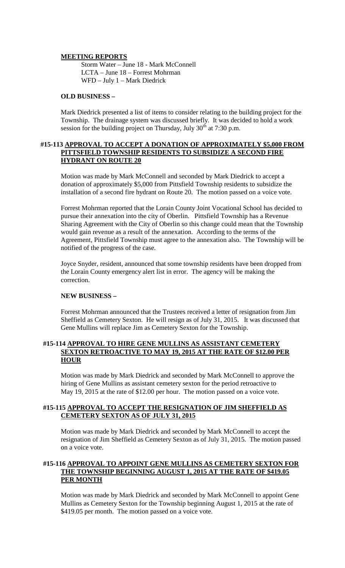#### **MEETING REPORTS**

Storm Water – June 18 - Mark McConnell LCTA – June 18 – Forrest Mohrman WFD – July 1 – Mark Diedrick

#### **OLD BUSINESS –**

Mark Diedrick presented a list of items to consider relating to the building project for the Township. The drainage system was discussed briefly. It was decided to hold a work session for the building project on Thursday, July  $30<sup>th</sup>$  at 7:30 p.m.

#### **#15-113 APPROVAL TO ACCEPT A DONATION OF APPROXIMATELY \$5,000 FROM PITTSFIELD TOWNSHIP RESIDENTS TO SUBSIDIZE A SECOND FIRE HYDRANT ON ROUTE 20**

Motion was made by Mark McConnell and seconded by Mark Diedrick to accept a donation of approximately \$5,000 from Pittsfield Township residents to subsidize the installation of a second fire hydrant on Route 20. The motion passed on a voice vote.

Forrest Mohrman reported that the Lorain County Joint Vocational School has decided to pursue their annexation into the city of Oberlin. Pittsfield Township has a Revenue Sharing Agreement with the City of Oberlin so this change could mean that the Township would gain revenue as a result of the annexation. According to the terms of the Agreement, Pittsfield Township must agree to the annexation also. The Township will be notified of the progress of the case.

Joyce Snyder, resident, announced that some township residents have been dropped from the Lorain County emergency alert list in error. The agency will be making the correction.

#### **NEW BUSINESS –**

Forrest Mohrman announced that the Trustees received a letter of resignation from Jim Sheffield as Cemetery Sexton. He will resign as of July 31, 2015. It was discussed that Gene Mullins will replace Jim as Cemetery Sexton for the Township.

#### **#15-114 APPROVAL TO HIRE GENE MULLINS AS ASSISTANT CEMETERY SEXTON RETROACTIVE TO MAY 19, 2015 AT THE RATE OF \$12.00 PER HOUR**

Motion was made by Mark Diedrick and seconded by Mark McConnell to approve the hiring of Gene Mullins as assistant cemetery sexton for the period retroactive to May 19, 2015 at the rate of \$12.00 per hour. The motion passed on a voice vote.

#### **#15-115 APPROVAL TO ACCEPT THE RESIGNATION OF JIM SHEFFIELD AS CEMETERY SEXTON AS OF JULY 31, 2015**

Motion was made by Mark Diedrick and seconded by Mark McConnell to accept the resignation of Jim Sheffield as Cemetery Sexton as of July 31, 2015. The motion passed on a voice vote.

## **#15-116 APPROVAL TO APPOINT GENE MULLINS AS CEMETERY SEXTON FOR THE TOWNSHIP BEGINNING AUGUST 1, 2015 AT THE RATE OF \$419.05 PER MONTH**

Motion was made by Mark Diedrick and seconded by Mark McConnell to appoint Gene Mullins as Cemetery Sexton for the Township beginning August 1, 2015 at the rate of \$419.05 per month. The motion passed on a voice vote.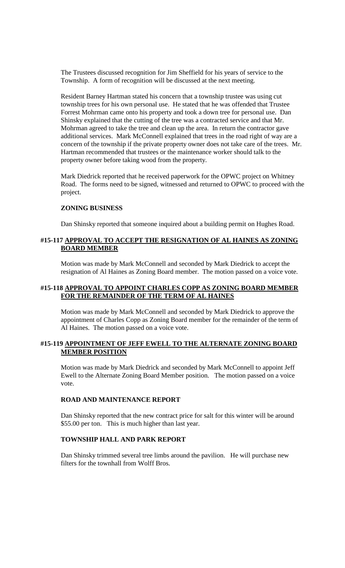The Trustees discussed recognition for Jim Sheffield for his years of service to the Township. A form of recognition will be discussed at the next meeting.

Resident Barney Hartman stated his concern that a township trustee was using cut township trees for his own personal use. He stated that he was offended that Trustee Forrest Mohrman came onto his property and took a down tree for personal use. Dan Shinsky explained that the cutting of the tree was a contracted service and that Mr. Mohrman agreed to take the tree and clean up the area. In return the contractor gave additional services. Mark McConnell explained that trees in the road right of way are a concern of the township if the private property owner does not take care of the trees. Mr. Hartman recommended that trustees or the maintenance worker should talk to the property owner before taking wood from the property.

Mark Diedrick reported that he received paperwork for the OPWC project on Whitney Road. The forms need to be signed, witnessed and returned to OPWC to proceed with the project.

#### **ZONING BUSINESS**

Dan Shinsky reported that someone inquired about a building permit on Hughes Road.

### **#15-117 APPROVAL TO ACCEPT THE RESIGNATION OF AL HAINES AS ZONING BOARD MEMBER**

Motion was made by Mark McConnell and seconded by Mark Diedrick to accept the resignation of Al Haines as Zoning Board member. The motion passed on a voice vote.

#### **#15-118 APPROVAL TO APPOINT CHARLES COPP AS ZONING BOARD MEMBER FOR THE REMAINDER OF THE TERM OF AL HAINES**

Motion was made by Mark McConnell and seconded by Mark Diedrick to approve the appointment of Charles Copp as Zoning Board member for the remainder of the term of Al Haines. The motion passed on a voice vote.

#### **#15-119 APPOINTMENT OF JEFF EWELL TO THE ALTERNATE ZONING BOARD MEMBER POSITION**

Motion was made by Mark Diedrick and seconded by Mark McConnell to appoint Jeff Ewell to the Alternate Zoning Board Member position. The motion passed on a voice vote.

#### **ROAD AND MAINTENANCE REPORT**

Dan Shinsky reported that the new contract price for salt for this winter will be around \$55.00 per ton. This is much higher than last year.

#### **TOWNSHIP HALL AND PARK REPORT**

Dan Shinsky trimmed several tree limbs around the pavilion. He will purchase new filters for the townhall from Wolff Bros.